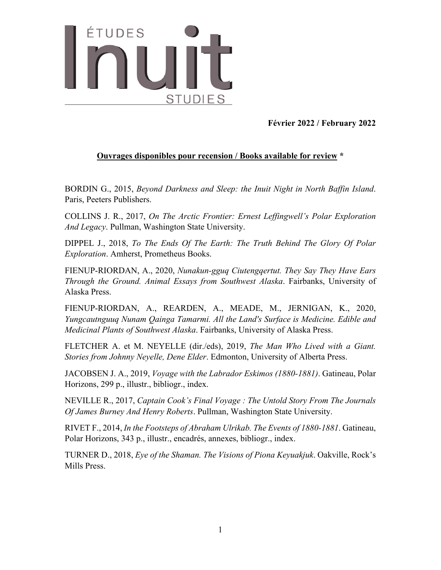

**Février 2022 / February 2022** 

## **Ouvrages disponibles pour recension / Books available for review \***

BORDIN G., 2015, *Beyond Darkness and Sleep: the Inuit Night in North Baffin Island*. Paris, Peeters Publishers.

COLLINS J. R., 2017, *On The Arctic Frontier: Ernest Leffingwell's Polar Exploration And Legacy*. Pullman, Washington State University.

DIPPEL J., 2018, *To The Ends Of The Earth: The Truth Behind The Glory Of Polar Exploration*. Amherst, Prometheus Books.

FIENUP-RIORDAN, A., 2020, *Nunakun-gguq Ciutengqertut. They Say They Have Ears Through the Ground. Animal Essays from Southwest Alaska*. Fairbanks, University of Alaska Press.

FIENUP-RIORDAN, A., REARDEN, A., MEADE, M., JERNIGAN, K., 2020, *Yungcautnguuq Nunam Qainga Tamarmi. All the Land's Surface is Medicine. Edible and Medicinal Plants of Southwest Alaska*. Fairbanks, University of Alaska Press.

FLETCHER A. et M. NEYELLE (dir./eds), 2019, *The Man Who Lived with a Giant. Stories from Johnny Neyelle, Dene Elder*. Edmonton, University of Alberta Press.

JACOBSEN J. A., 2019, *Voyage with the Labrador Eskimos (1880-1881)*. Gatineau, Polar Horizons, 299 p., illustr., bibliogr., index.

NEVILLE R., 2017, *Captain Cook's Final Voyage : The Untold Story From The Journals Of James Burney And Henry Roberts*. Pullman, Washington State University.

RIVET F., 2014, *In the Footsteps of Abraham Ulrikab. The Events of 1880-1881*. Gatineau, Polar Horizons, 343 p., illustr., encadrés, annexes, bibliogr., index.

TURNER D., 2018, *Eye of the Shaman. The Visions of Piona Keyuakjuk*. Oakville, Rock's Mills Press.